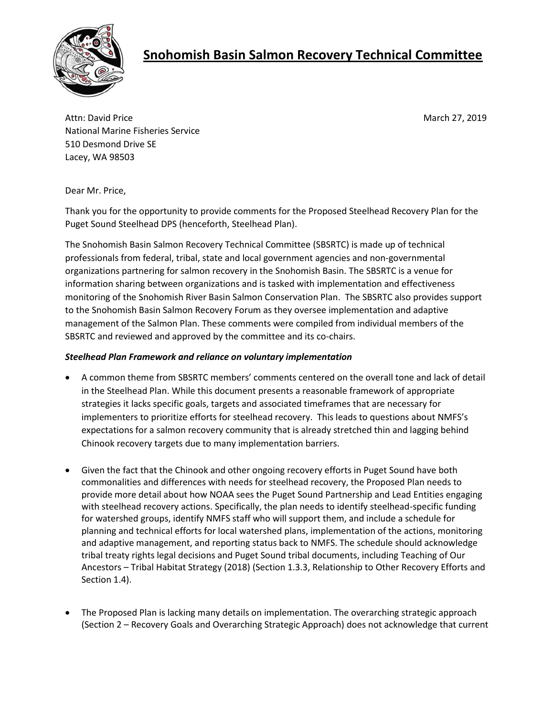

# **Snohomish Basin Salmon Recovery Technical Committee**

Attn: David Price **March 27, 2019** National Marine Fisheries Service 510 Desmond Drive SE Lacey, WA 98503

Dear Mr. Price,

Thank you for the opportunity to provide comments for the Proposed Steelhead Recovery Plan for the Puget Sound Steelhead DPS (henceforth, Steelhead Plan).

The Snohomish Basin Salmon Recovery Technical Committee (SBSRTC) is made up of technical professionals from federal, tribal, state and local government agencies and non-governmental organizations partnering for salmon recovery in the Snohomish Basin. The SBSRTC is a venue for information sharing between organizations and is tasked with implementation and effectiveness monitoring of the Snohomish River Basin Salmon Conservation Plan. The SBSRTC also provides support to the Snohomish Basin Salmon Recovery Forum as they oversee implementation and adaptive management of the Salmon Plan. These comments were compiled from individual members of the SBSRTC and reviewed and approved by the committee and its co-chairs.

## *Steelhead Plan Framework and reliance on voluntary implementation*

- A common theme from SBSRTC members' comments centered on the overall tone and lack of detail in the Steelhead Plan. While this document presents a reasonable framework of appropriate strategies it lacks specific goals, targets and associated timeframes that are necessary for implementers to prioritize efforts for steelhead recovery. This leads to questions about NMFS's expectations for a salmon recovery community that is already stretched thin and lagging behind Chinook recovery targets due to many implementation barriers.
- Given the fact that the Chinook and other ongoing recovery efforts in Puget Sound have both commonalities and differences with needs for steelhead recovery, the Proposed Plan needs to provide more detail about how NOAA sees the Puget Sound Partnership and Lead Entities engaging with steelhead recovery actions. Specifically, the plan needs to identify steelhead-specific funding for watershed groups, identify NMFS staff who will support them, and include a schedule for planning and technical efforts for local watershed plans, implementation of the actions, monitoring and adaptive management, and reporting status back to NMFS. The schedule should acknowledge tribal treaty rights legal decisions and Puget Sound tribal documents, including Teaching of Our Ancestors – Tribal Habitat Strategy (2018) (Section 1.3.3, Relationship to Other Recovery Efforts and Section 1.4).
- The Proposed Plan is lacking many details on implementation. The overarching strategic approach (Section 2 – Recovery Goals and Overarching Strategic Approach) does not acknowledge that current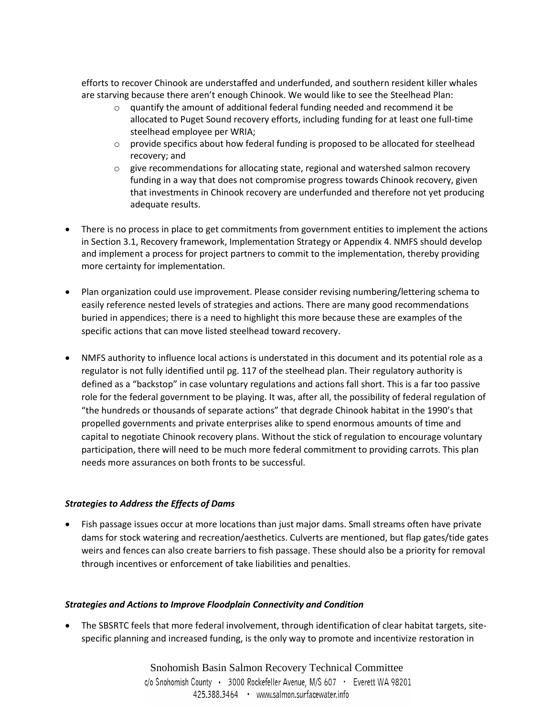efforts to recover Chinook are understaffed and underfunded, and southern resident killer whales are starving because there aren't enough Chinook. We would like to see the Steelhead Plan:

- $\circ$  quantify the amount of additional federal funding needed and recommend it be allocated to Puget Sound recovery efforts, including funding for at least one full-time steelhead employee per WRIA;
- $\circ$  provide specifics about how federal funding is proposed to be allocated for steelhead recovery; and
- $\circ$  give recommendations for allocating state, regional and watershed salmon recovery funding in a way that does not compromise progress towards Chinook recovery, given that investments in Chinook recovery are underfunded and therefore not yet producing adequate results.
- There is no process in place to get commitments from government entities to implement the actions in Section 3.1, Recovery framework, Implementation Strategy or Appendix 4. NMFS should develop and implement a process for project partners to commit to the implementation, thereby providing more certainty for implementation.
- Plan organization could use improvement. Please consider revising numbering/lettering schema to easily reference nested levels of strategies and actions. There are many good recommendations buried in appendices; there is a need to highlight this more because these are examples of the specific actions that can move listed steelhead toward recovery.
- NMFS authority to influence local actions is understated in this document and its potential role as a regulator is not fully identified until pg. 117 of the steelhead plan. Their regulatory authority is defined as a "backstop" in case voluntary regulations and actions fall short. This is a far too passive role for the federal government to be playing. It was, after all, the possibility of federal regulation of "the hundreds or thousands of separate actions" that degrade Chinook habitat in the 1990's that propelled governments and private enterprises alike to spend enormous amounts of time and capital to negotiate Chinook recovery plans. Without the stick of regulation to encourage voluntary participation, there will need to be much more federal commitment to providing carrots. This plan needs more assurances on both fronts to be successful.

## *Strategies to Address the Effects of Dams*

 Fish passage issues occur at more locations than just major dams. Small streams often have private dams for stock watering and recreation/aesthetics. Culverts are mentioned, but flap gates/tide gates weirs and fences can also create barriers to fish passage. These should also be a priority for removal through incentives or enforcement of take liabilities and penalties.

## *Strategies and Actions to Improve Floodplain Connectivity and Condition*

 The SBSRTC feels that more federal involvement, through identification of clear habitat targets, sitespecific planning and increased funding, is the only way to promote and incentivize restoration in

> Snohomish Basin Salmon Recovery Technical Committee c/o Snohomish County · 3000 Rockefeller Avenue, M/S 607 · Everett WA 98201 425.388.3464 • www.salmon.surfacewater.info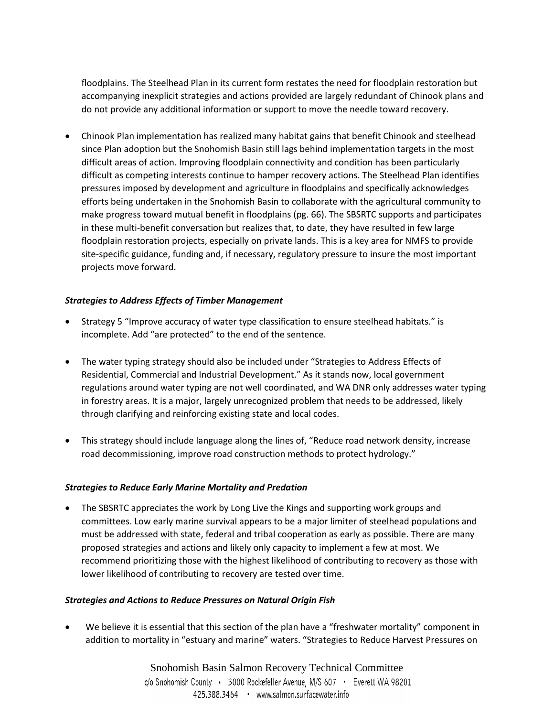floodplains. The Steelhead Plan in its current form restates the need for floodplain restoration but accompanying inexplicit strategies and actions provided are largely redundant of Chinook plans and do not provide any additional information or support to move the needle toward recovery.

• Chinook Plan implementation has realized many habitat gains that benefit Chinook and steelhead since Plan adoption but the Snohomish Basin still lags behind implementation targets in the most difficult areas of action. Improving floodplain connectivity and condition has been particularly difficult as competing interests continue to hamper recovery actions. The Steelhead Plan identifies pressures imposed by development and agriculture in floodplains and specifically acknowledges efforts being undertaken in the Snohomish Basin to collaborate with the agricultural community to make progress toward mutual benefit in floodplains (pg. 66). The SBSRTC supports and participates in these multi-benefit conversation but realizes that, to date, they have resulted in few large floodplain restoration projects, especially on private lands. This is a key area for NMFS to provide site-specific guidance, funding and, if necessary, regulatory pressure to insure the most important projects move forward.

## *Strategies to Address Effects of Timber Management*

- Strategy 5 "Improve accuracy of water type classification to ensure steelhead habitats." is incomplete. Add "are protected" to the end of the sentence.
- The water typing strategy should also be included under "Strategies to Address Effects of Residential, Commercial and Industrial Development." As it stands now, local government regulations around water typing are not well coordinated, and WA DNR only addresses water typing in forestry areas. It is a major, largely unrecognized problem that needs to be addressed, likely through clarifying and reinforcing existing state and local codes.
- This strategy should include language along the lines of, "Reduce road network density, increase road decommissioning, improve road construction methods to protect hydrology."

## *Strategies to Reduce Early Marine Mortality and Predation*

• The SBSRTC appreciates the work by Long Live the Kings and supporting work groups and committees. Low early marine survival appears to be a major limiter of steelhead populations and must be addressed with state, federal and tribal cooperation as early as possible. There are many proposed strategies and actions and likely only capacity to implement a few at most. We recommend prioritizing those with the highest likelihood of contributing to recovery as those with lower likelihood of contributing to recovery are tested over time.

## *Strategies and Actions to Reduce Pressures on Natural Origin Fish*

 We believe it is essential that this section of the plan have a "freshwater mortality" component in addition to mortality in "estuary and marine" waters. "Strategies to Reduce Harvest Pressures on

> Snohomish Basin Salmon Recovery Technical Committee c/o Snohomish County · 3000 Rockefeller Avenue, M/S 607 · Everett WA 98201 425.388.3464 • www.salmon.surfacewater.info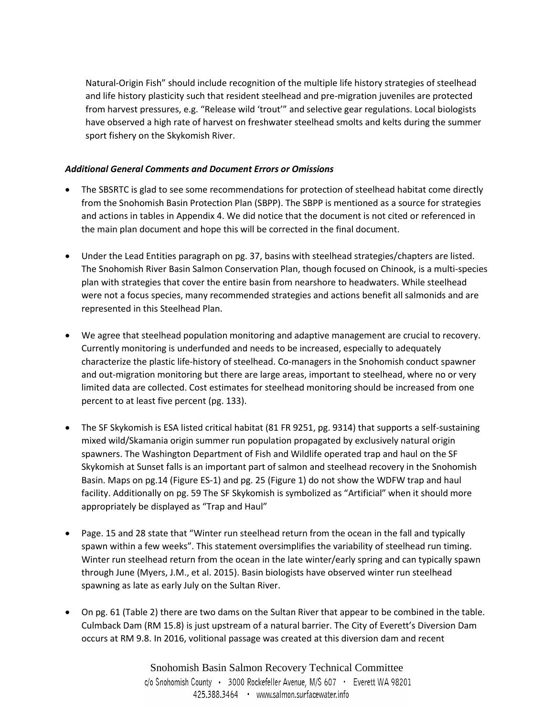Natural-Origin Fish" should include recognition of the multiple life history strategies of steelhead and life history plasticity such that resident steelhead and pre-migration juveniles are protected from harvest pressures, e.g. "Release wild 'trout'" and selective gear regulations. Local biologists have observed a high rate of harvest on freshwater steelhead smolts and kelts during the summer sport fishery on the Skykomish River.

## *Additional General Comments and Document Errors or Omissions*

- The SBSRTC is glad to see some recommendations for protection of steelhead habitat come directly from the Snohomish Basin Protection Plan (SBPP). The SBPP is mentioned as a source for strategies and actions in tables in Appendix 4. We did notice that the document is not cited or referenced in the main plan document and hope this will be corrected in the final document.
- Under the Lead Entities paragraph on pg. 37, basins with steelhead strategies/chapters are listed. The Snohomish River Basin Salmon Conservation Plan, though focused on Chinook, is a multi-species plan with strategies that cover the entire basin from nearshore to headwaters. While steelhead were not a focus species, many recommended strategies and actions benefit all salmonids and are represented in this Steelhead Plan.
- We agree that steelhead population monitoring and adaptive management are crucial to recovery. Currently monitoring is underfunded and needs to be increased, especially to adequately characterize the plastic life-history of steelhead. Co-managers in the Snohomish conduct spawner and out-migration monitoring but there are large areas, important to steelhead, where no or very limited data are collected. Cost estimates for steelhead monitoring should be increased from one percent to at least five percent (pg. 133).
- The SF Skykomish is ESA listed critical habitat (81 FR 9251, pg. 9314) that supports a self-sustaining mixed wild/Skamania origin summer run population propagated by exclusively natural origin spawners. The Washington Department of Fish and Wildlife operated trap and haul on the SF Skykomish at Sunset falls is an important part of salmon and steelhead recovery in the Snohomish Basin. Maps on pg.14 (Figure ES-1) and pg. 25 (Figure 1) do not show the WDFW trap and haul facility. Additionally on pg. 59 The SF Skykomish is symbolized as "Artificial" when it should more appropriately be displayed as "Trap and Haul"
- Page. 15 and 28 state that "Winter run steelhead return from the ocean in the fall and typically spawn within a few weeks". This statement oversimplifies the variability of steelhead run timing. Winter run steelhead return from the ocean in the late winter/early spring and can typically spawn through June (Myers, J.M., et al. 2015). Basin biologists have observed winter run steelhead spawning as late as early July on the Sultan River.
- On pg. 61 (Table 2) there are two dams on the Sultan River that appear to be combined in the table. Culmback Dam (RM 15.8) is just upstream of a natural barrier. The City of Everett's Diversion Dam occurs at RM 9.8. In 2016, volitional passage was created at this diversion dam and recent

Snohomish Basin Salmon Recovery Technical Committee c/o Snohomish County · 3000 Rockefeller Avenue, M/S 607 · Everett WA 98201 425.388.3464 • www.salmon.surfacewater.info